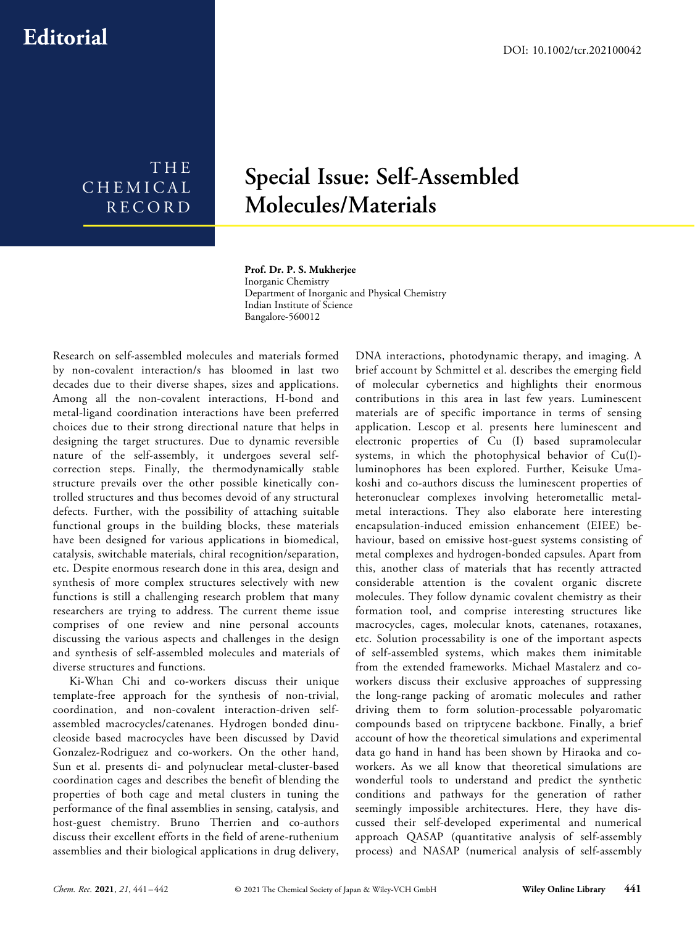## **Editorial**

THE CHEMICAL RECORD

## **Special Issue: Self-Assembled Molecules/Materials**

## **Prof. Dr. P. S. Mukherjee**

Inorganic Chemistry Department of Inorganic and Physical Chemistry Indian Institute of Science Bangalore-560012

Research on self-assembled molecules and materials formed by non-covalent interaction/s has bloomed in last two decades due to their diverse shapes, sizes and applications. Among all the non-covalent interactions, H-bond and metal-ligand coordination interactions have been preferred choices due to their strong directional nature that helps in designing the target structures. Due to dynamic reversible nature of the self-assembly, it undergoes several selfcorrection steps. Finally, the thermodynamically stable structure prevails over the other possible kinetically controlled structures and thus becomes devoid of any structural defects. Further, with the possibility of attaching suitable functional groups in the building blocks, these materials have been designed for various applications in biomedical, catalysis, switchable materials, chiral recognition/separation, etc. Despite enormous research done in this area, design and synthesis of more complex structures selectively with new functions is still a challenging research problem that many researchers are trying to address. The current theme issue comprises of one review and nine personal accounts discussing the various aspects and challenges in the design and synthesis of self-assembled molecules and materials of diverse structures and functions.

Ki-Whan Chi and co-workers discuss their unique template-free approach for the synthesis of non-trivial, coordination, and non-covalent interaction-driven selfassembled macrocycles/catenanes. Hydrogen bonded dinucleoside based macrocycles have been discussed by David Gonzalez-Rodriguez and co-workers. On the other hand, Sun et al. presents di- and polynuclear metal-cluster-based coordination cages and describes the benefit of blending the properties of both cage and metal clusters in tuning the performance of the final assemblies in sensing, catalysis, and host-guest chemistry. Bruno Therrien and co-authors discuss their excellent efforts in the field of arene-ruthenium assemblies and their biological applications in drug delivery, DNA interactions, photodynamic therapy, and imaging. A brief account by Schmittel et al. describes the emerging field of molecular cybernetics and highlights their enormous contributions in this area in last few years. Luminescent materials are of specific importance in terms of sensing application. Lescop et al. presents here luminescent and electronic properties of Cu (I) based supramolecular systems, in which the photophysical behavior of Cu(I) luminophores has been explored. Further, Keisuke Umakoshi and co-authors discuss the luminescent properties of heteronuclear complexes involving heterometallic metalmetal interactions. They also elaborate here interesting encapsulation-induced emission enhancement (EIEE) behaviour, based on emissive host-guest systems consisting of metal complexes and hydrogen-bonded capsules. Apart from this, another class of materials that has recently attracted considerable attention is the covalent organic discrete molecules. They follow dynamic covalent chemistry as their formation tool, and comprise interesting structures like macrocycles, cages, molecular knots, catenanes, rotaxanes, etc. Solution processability is one of the important aspects of self-assembled systems, which makes them inimitable from the extended frameworks. Michael Mastalerz and coworkers discuss their exclusive approaches of suppressing the long-range packing of aromatic molecules and rather driving them to form solution-processable polyaromatic compounds based on triptycene backbone. Finally, a brief account of how the theoretical simulations and experimental data go hand in hand has been shown by Hiraoka and coworkers. As we all know that theoretical simulations are wonderful tools to understand and predict the synthetic conditions and pathways for the generation of rather seemingly impossible architectures. Here, they have discussed their self-developed experimental and numerical approach QASAP (quantitative analysis of self-assembly process) and NASAP (numerical analysis of self-assembly